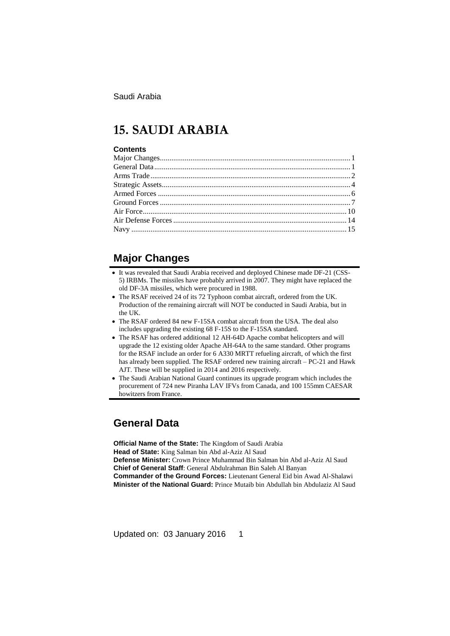# **15. SAUDI ARABIA**

#### **Contents**

# **Major Changes**

- It was revealed that Saudi Arabia received and deployed Chinese made DF-21 (CSS-5) IRBMs. The missiles have probably arrived in 2007. They might have replaced the old DF-3A missiles, which were procured in 1988.
- The RSAF received 24 of its 72 Typhoon combat aircraft, ordered from the UK. Production of the remaining aircraft will NOT be conducted in Saudi Arabia, but in the UK.
- The RSAF ordered 84 new F-15SA combat aircraft from the USA. The deal also includes upgrading the existing 68 F-15S to the F-15SA standard.
- The RSAF has ordered additional 12 AH-64D Apache combat helicopters and will upgrade the 12 existing older Apache AH-64A to the same standard. Other programs for the RSAF include an order for 6 A330 MRTT refueling aircraft, of which the first has already been supplied. The RSAF ordered new training aircraft – PC-21 and Hawk AJT. These will be supplied in 2014 and 2016 respectively.
- The Saudi Arabian National Guard continues its upgrade program which includes the procurement of 724 new Piranha LAV IFVs from Canada, and 100 155mm CAESAR howitzers from France.

# **General Data**

**Official Name of the State:** The Kingdom of Saudi Arabia **Head of State:** King Salman bin Abd al-Aziz Al Saud **Defense Minister:** Crown Prince Muhammad Bin Salman bin Abd al-Aziz Al Saud **Chief of General Staff**: General Abdulrahman Bin Saleh Al Banyan **Commander of the Ground Forces:** Lieutenant General Eid bin Awad Al-Shalawi **Minister of the National Guard:** Prince Mutaib bin Abdullah bin Abdulaziz Al Saud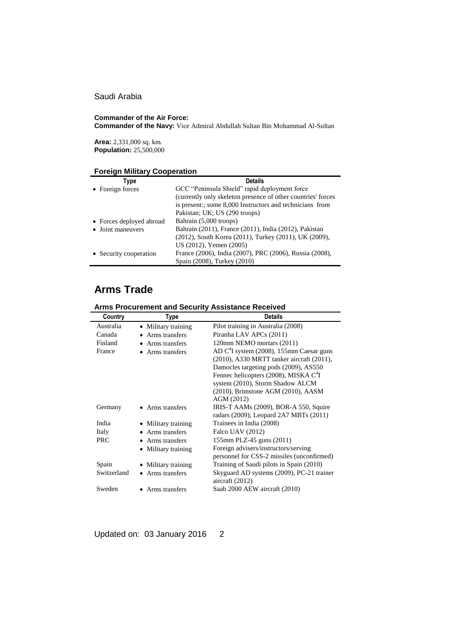#### **Commander of the Air Force:**

**Commander of the Navy:** Vice Admiral Abdullah Sultan Bin Mohammad Al-Sultan

**Area:** 2,331,000 sq. km. **Population:** 25,500,000

### **Foreign Military Cooperation**

| Type                     | <b>Details</b>                                               |
|--------------------------|--------------------------------------------------------------|
| • Foreign forces         | GCC "Peninsula Shield" rapid deployment force                |
|                          | (currently only skeleton presence of other countries' forces |
|                          | is present:; some 8,000 Instructors and technicians from     |
|                          | Pakistan; UK; US (290 troops)                                |
| • Forces deployed abroad | Bahrain (5,000 troops)                                       |
| • Joint maneuvers        | Bahrain (2011), France (2011), India (2012), Pakistan        |
|                          | (2012), South Korea (2011), Turkey (2011), UK (2009),        |
|                          | US (2012), Yemen (2005)                                      |
| • Security cooperation   | France (2006), India (2007), PRC (2006), Russia (2008),      |
|                          | Spain (2008), Turkey (2010)                                  |

# **Arms Trade**

| Country   | Type                | <b>Details</b>                                       |
|-----------|---------------------|------------------------------------------------------|
| Australia | • Military training | Pilot training in Australia (2008)                   |
| Canada    | • Arms transfers    | Piranha LAV APCs (2011)                              |
| Finland   | • Arms transfers    | 120mm NEMO mortars (2011)                            |
| France    | • Arms transfers    | AD C <sup>4</sup> I system (2008), 155mm Caesar guns |
|           |                     | (2010), A330 MRTT tanker aircraft (2011),            |

Damocles targeting pods (2009), AS550 Fennec helicopters (2008), MISKA C<sup>4</sup>I system (2010), Storm Shadow ALCM (2010), Brimstone AGM (2010), AASM

radars (2009); Leopard 2A7 MBTs (2011)

personnel for CSS-2 missiles (unconfirmed)

AGM (2012)

Military training Foreign advisers/instructors/serving

aircraft (2012)

Germany • Arms transfers IRIS-T AAMs (2009), BOR-A 550, Squire

Spain • Military training Training of Saudi pilots in Spain (2010) Switzerland • Arms transfers Skyguard AD systems (2009), PC-21 trainer

### **Arms Procurement and Security Assistance Received**

India • Military training Trainees in India (2008) Italy • Arms transfers Falco UAV (2012)

PRC • Arms transfers 155mm PLZ-45 guns (2011)

Sweden • Arms transfers Saab 2000 AEW aircraft (2010)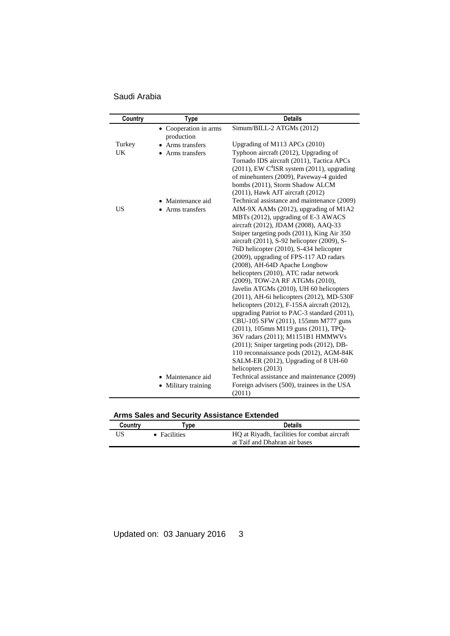Saudi Arabia

| Country   | <b>Type</b>                         | <b>Details</b>                                                                             |
|-----------|-------------------------------------|--------------------------------------------------------------------------------------------|
|           | • Cooperation in arms<br>production | Simum/BILL-2 ATGMs (2012)                                                                  |
| Turkey    | Arms transfers                      | Upgrading of M113 APCs (2010)                                                              |
| <b>UK</b> | • Arms transfers                    | Typhoon aircraft (2012), Upgrading of                                                      |
|           |                                     | Tornado IDS aircraft (2011), Tactica APCs                                                  |
|           |                                     | $(2011)$ , EW C <sup>4</sup> ISR system $(2011)$ , upgrading                               |
|           |                                     | of minehunters (2009), Paveway-4 guided                                                    |
|           |                                     | bombs (2011), Storm Shadow ALCM                                                            |
|           |                                     | (2011), Hawk AJT aircraft (2012)                                                           |
|           | • Maintenance aid                   | Technical assistance and maintenance (2009)                                                |
| US        | • Arms transfers                    | AIM-9X AAMs (2012), upgrading of M1A2                                                      |
|           |                                     | MBTs (2012), upgrading of E-3 AWACS                                                        |
|           |                                     | aircraft (2012), JDAM (2008), AAQ-33                                                       |
|           |                                     | Sniper targeting pods (2011), King Air 350                                                 |
|           |                                     | aircraft (2011), S-92 helicopter (2009), S-                                                |
|           |                                     | 76D helicopter (2010), S-434 helicopter                                                    |
|           |                                     | (2009), upgrading of FPS-117 AD radars                                                     |
|           |                                     | (2008), AH-64D Apache Longbow                                                              |
|           |                                     | helicopters (2010), ATC radar network                                                      |
|           |                                     | (2009), TOW-2A RF ATGMs (2010),                                                            |
|           |                                     | Javelin ATGMs (2010), UH 60 helicopters                                                    |
|           |                                     | (2011), AH-6i helicopters (2012), MD-530F                                                  |
|           |                                     | helicopters (2012), F-15SA aircraft (2012),<br>upgrading Patriot to PAC-3 standard (2011), |
|           |                                     | CBU-105 SFW (2011), 155mm M777 guns                                                        |
|           |                                     | (2011), 105mm M119 guns (2011), TPQ-                                                       |
|           |                                     | 36V radars (2011); M1151B1 HMMWVs                                                          |
|           |                                     | (2011); Sniper targeting pods (2012), DB-                                                  |
|           |                                     | 110 reconnaissance pods (2012), AGM-84K                                                    |
|           |                                     | SALM-ER (2012), Upgrading of 8 UH-60                                                       |
|           |                                     | helicopters (2013)                                                                         |
|           | • Maintenance aid                   | Technical assistance and maintenance (2009)                                                |
|           | Military training<br>٠              | Foreign advisers (500), trainees in the USA                                                |
|           |                                     | (2011)                                                                                     |

# **Arms Sales and Security Assistance Extended**

| Country | vpe                                                                  | <b>Details</b>                |  |  |  |
|---------|----------------------------------------------------------------------|-------------------------------|--|--|--|
| US      | HQ at Riyadh, facilities for combat aircraft<br>$\bullet$ Facilities |                               |  |  |  |
|         |                                                                      | at Taif and Dhahran air bases |  |  |  |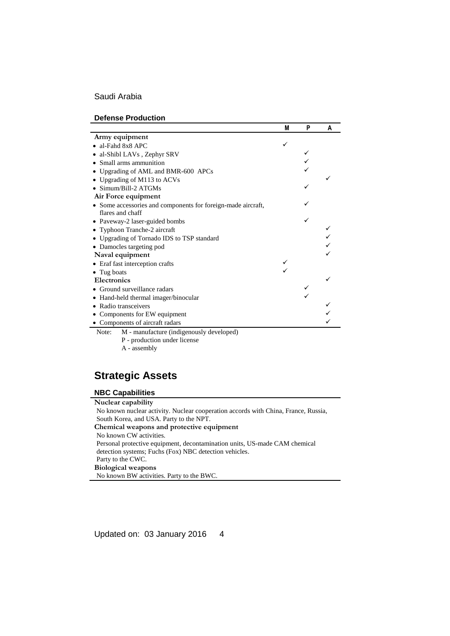|                                                              | M | P | A |
|--------------------------------------------------------------|---|---|---|
| Army equipment                                               |   |   |   |
| $\bullet$ al-Fahd 8x8 APC                                    |   |   |   |
| • al-Shibl LAVs, Zephyr SRV                                  |   |   |   |
| • Small arms ammunition                                      |   |   |   |
| • Upgrading of AML and BMR-600 APCs                          |   |   |   |
| • Upgrading of M113 to ACVs                                  |   |   |   |
| $\bullet$ Simum/Bill-2 ATGMs                                 |   |   |   |
| Air Force equipment                                          |   |   |   |
| • Some accessories and components for foreign-made aircraft, |   |   |   |
| flares and chaff                                             |   |   |   |
| • Paveway-2 laser-guided bombs                               |   |   |   |
| • Typhoon Tranche-2 aircraft                                 |   |   |   |
| • Upgrading of Tornado IDS to TSP standard                   |   |   |   |
| • Damocles targeting pod                                     |   |   |   |
| Naval equipment                                              |   |   |   |
| • Eraf fast interception crafts                              |   |   |   |
| $\bullet$ Tug boats                                          |   |   |   |
| <b>Electronics</b>                                           |   |   |   |
| • Ground surveillance radars                                 |   |   |   |
| • Hand-held thermal imager/binocular                         |   |   |   |
| • Radio transceivers                                         |   |   |   |
| • Components for EW equipment                                |   |   |   |
| • Components of aircraft radars                              |   |   |   |
| M - manufacture (indigenously developed)<br>Note:            |   |   |   |

P - production under license A - assembly

# **Strategic Assets**

### **NBC Capabilities**

**Nuclear capability**

No known nuclear activity. Nuclear cooperation accords with China, France, Russia, South Korea, and USA. Party to the NPT. **Chemical weapons and protective equipment** No known CW activities. Personal protective equipment, decontamination units, US-made CAM chemical detection systems; Fuchs (Fox) NBC detection vehicles. Party to the CWC. **Biological weapons** No known BW activities. Party to the BWC.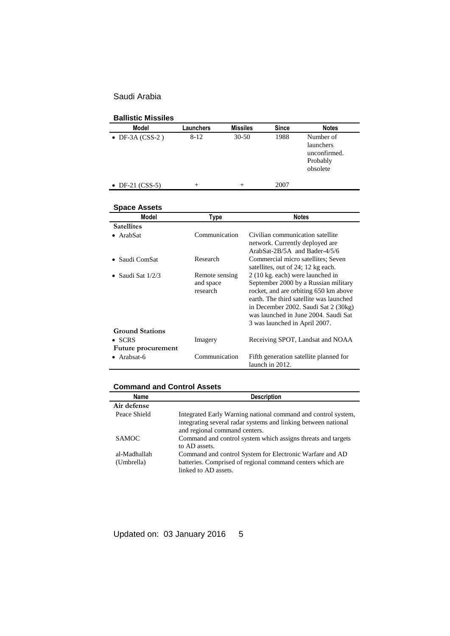| <b>Ballistic Missiles</b> |           |                 |              |                                                                |
|---------------------------|-----------|-----------------|--------------|----------------------------------------------------------------|
| <b>Model</b>              | Launchers | <b>Missiles</b> | <b>Since</b> | <b>Notes</b>                                                   |
| $\bullet$ DF-3A (CSS-2)   | $8 - 12$  | $30 - 50$       | 1988         | Number of<br>launchers<br>unconfirmed.<br>Probably<br>obsolete |
| • DF-21 $(CSS-5)$         | $^+$      | $^{+}$          | 2007         |                                                                |
|                           |           |                 |              |                                                                |

| Space Assets                              |                                         |                                                                                                                                                                                                                                                                               |  |  |  |
|-------------------------------------------|-----------------------------------------|-------------------------------------------------------------------------------------------------------------------------------------------------------------------------------------------------------------------------------------------------------------------------------|--|--|--|
| Model                                     | Type                                    | <b>Notes</b>                                                                                                                                                                                                                                                                  |  |  |  |
| <b>Satellites</b>                         |                                         |                                                                                                                                                                                                                                                                               |  |  |  |
| Communication<br>ArabSat                  |                                         | Civilian communication satellite<br>network. Currently deployed are<br>ArabSat- $2B/5A$ and Bader- $4/5/6$                                                                                                                                                                    |  |  |  |
| Research<br>Saudi ComSat                  |                                         | Commercial micro satellites; Seven<br>satellites, out of 24; 12 kg each.                                                                                                                                                                                                      |  |  |  |
| Saudi Sat 1/2/3<br><b>Ground Stations</b> | Remote sensing<br>and space<br>research | 2 (10 kg. each) were launched in<br>September 2000 by a Russian military<br>rocket, and are orbiting 650 km above<br>earth. The third satellite was launched<br>in December 2002. Saudi Sat 2 (30kg)<br>was launched in June 2004. Saudi Sat<br>3 was launched in April 2007. |  |  |  |
| $\bullet$ SCRS                            | Imagery                                 | Receiving SPOT, Landsat and NOAA                                                                                                                                                                                                                                              |  |  |  |
| Future procurement                        |                                         |                                                                                                                                                                                                                                                                               |  |  |  |
| Arabsat-6                                 | Communication                           | Fifth generation satellite planned for<br>launch in 2012.                                                                                                                                                                                                                     |  |  |  |

### **Command and Control Assets**

| Name                       | <b>Description</b>                                                                                                                                               |
|----------------------------|------------------------------------------------------------------------------------------------------------------------------------------------------------------|
| Air defense                |                                                                                                                                                                  |
| Peace Shield               | Integrated Early Warning national command and control system,<br>integrating several radar systems and linking between national<br>and regional command centers. |
| <b>SAMOC</b>               | Command and control system which assigns threats and targets<br>to AD assets.                                                                                    |
| al-Madhallah<br>(Umbrella) | Command and control System for Electronic Warfare and AD<br>batteries. Comprised of regional command centers which are                                           |
|                            | linked to AD assets.                                                                                                                                             |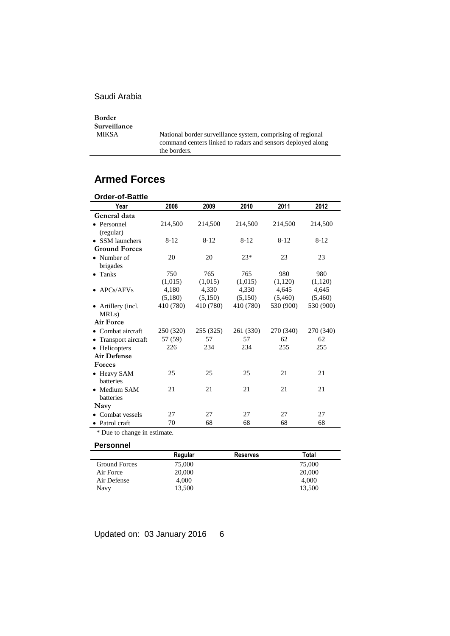**Border Surveillance**

National border surveillance system, comprising of regional command centers linked to radars and sensors deployed along the borders.

# **Armed Forces**

| Order-of-Battle      |           |           |           |           |           |
|----------------------|-----------|-----------|-----------|-----------|-----------|
| Year                 | 2008      | 2009      | 2010      | 2011      | 2012      |
| General data         |           |           |           |           |           |
| • Personnel          | 214,500   | 214,500   | 214,500   | 214,500   | 214,500   |
| (regular)            |           |           |           |           |           |
| • SSM launchers      | $8 - 12$  | $8 - 12$  | $8 - 12$  | $8-12$    | $8 - 12$  |
| <b>Ground Forces</b> |           |           |           |           |           |
| • Number of          | 20        | 20        | $23*$     | 23        | 23        |
| brigades             |           |           |           |           |           |
| $\bullet$ Tanks      | 750       | 765       | 765       | 980       | 980       |
|                      | (1,015)   | (1,015)   | (1,015)   | (1,120)   | (1,120)   |
| $\bullet$ APCs/AFVs  | 4,180     | 4,330     | 4,330     | 4,645     | 4,645     |
|                      | (5,180)   | (5,150)   | (5,150)   | (5,460)   | (5,460)   |
| • Artillery (incl.   | 410 (780) | 410 (780) | 410 (780) | 530 (900) | 530 (900) |
| MRL <sub>s</sub> )   |           |           |           |           |           |
| Air Force            |           |           |           |           |           |
| • Combat aircraft    | 250 (320) | 255 (325) | 261 (330) | 270 (340) | 270 (340) |
| • Transport aircraft | 57 (59)   | 57        | 57        | 62        | 62        |
| • Helicopters        | 226       | 234       | 234       | 255       | 255       |
| <b>Air Defense</b>   |           |           |           |           |           |
| <b>Forces</b>        |           |           |           |           |           |
| • Heavy SAM          | 25        | 25        | 25        | 21        | 21        |
| <b>batteries</b>     |           |           |           |           |           |
| • Medium SAM         | 21        | 21        | 21        | 21        | 21        |
| batteries            |           |           |           |           |           |
| Navy                 |           |           |           |           |           |
| • Combat vessels     | 27        | 27        | 27        | 27        | 27        |
| • Patrol craft       | 70        | 68        | 68        | 68        | 68        |

\* Due to change in estimate.

### **Personnel**

|                      | Regular | <b>Reserves</b> | Total  |  |
|----------------------|---------|-----------------|--------|--|
| <b>Ground Forces</b> | 75,000  |                 | 75,000 |  |
| Air Force            | 20,000  |                 | 20,000 |  |
| Air Defense          | 4.000   |                 | 4.000  |  |
| Navy                 | 13.500  |                 | 13.500 |  |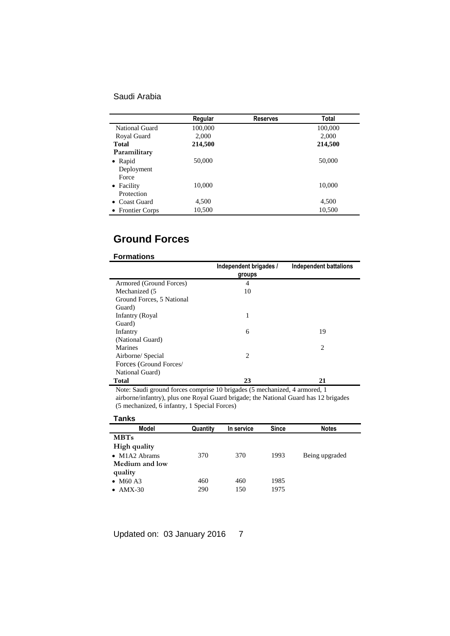|                  | Regular | <b>Reserves</b> | <b>Total</b> |
|------------------|---------|-----------------|--------------|
| National Guard   | 100,000 |                 | 100,000      |
| Royal Guard      | 2,000   |                 | 2,000        |
| <b>Total</b>     | 214,500 |                 | 214,500      |
| Paramilitary     |         |                 |              |
| $\bullet$ Rapid  | 50,000  |                 | 50,000       |
| Deployment       |         |                 |              |
| Force            |         |                 |              |
| • Facility       | 10,000  |                 | 10,000       |
| Protection       |         |                 |              |
| • Coast Guard    | 4,500   |                 | 4,500        |
| • Frontier Corps | 10,500  |                 | 10,500       |

# **Ground Forces**

### **Formations**

|                           | Independent brigades / | Independent battalions |
|---------------------------|------------------------|------------------------|
|                           | groups                 |                        |
| Armored (Ground Forces)   | 4                      |                        |
| Mechanized (5)            | 10                     |                        |
| Ground Forces, 5 National |                        |                        |
| Guard)                    |                        |                        |
| Infantry (Royal           | 1                      |                        |
| Guard)                    |                        |                        |
| Infantry                  | 6                      | 19                     |
| (National Guard)          |                        |                        |
| Marines                   |                        | 2                      |
| Airborne/ Special         | 2                      |                        |
| Forces (Ground Forces/    |                        |                        |
| National Guard)           |                        |                        |
| Total                     | 23                     | 21                     |

Note: Saudi ground forces comprise 10 brigades (5 mechanized, 4 armored, 1

airborne/infantry), plus one Royal Guard brigade; the National Guard has 12 brigades (5 mechanized, 6 infantry, 1 Special Forces)

### **Tanks**

| <b>Model</b>                             | Quantity | In service | <b>Since</b> | <b>Notes</b>   |
|------------------------------------------|----------|------------|--------------|----------------|
| <b>MBTs</b>                              |          |            |              |                |
| High quality                             |          |            |              |                |
| $\bullet$ M1A2 Abrams                    | 370      | 370        | 1993         | Being upgraded |
| Medium and low                           |          |            |              |                |
| quality                                  |          |            |              |                |
| $\bullet$ M <sub>60</sub> A <sub>3</sub> | 460      | 460        | 1985         |                |
| $AMX-30$                                 | 290      | 150        | 1975         |                |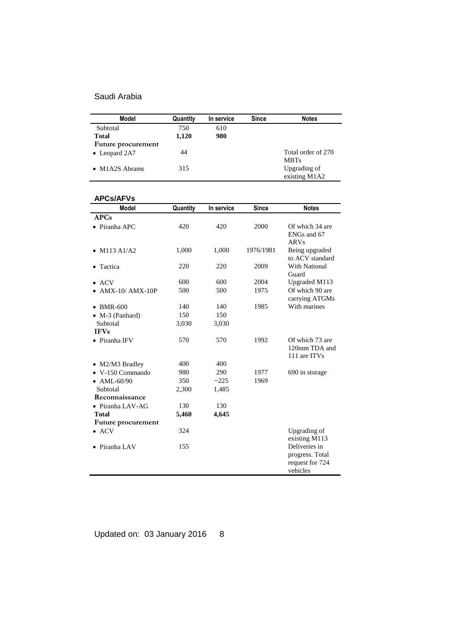| Model                  | Quantity | In service | <b>Since</b> | <b>Notes</b>       |
|------------------------|----------|------------|--------------|--------------------|
| Subtotal               | 750      | 610        |              |                    |
| <b>Total</b>           | 1,120    | 980        |              |                    |
| Future procurement     |          |            |              |                    |
| $\bullet$ Leopard 2A7  | 44       |            |              | Total order of 270 |
|                        |          |            |              | <b>MBTs</b>        |
| $\bullet$ M1A2S Abrams | 315      |            |              | Upgrading of       |
|                        |          |            |              | existing M1A2      |

| <b>APCs/AFVs</b>          |          |            |              |                 |
|---------------------------|----------|------------|--------------|-----------------|
| <b>Model</b>              | Quantity | In service | <b>Since</b> | <b>Notes</b>    |
| APCs                      |          |            |              |                 |
| $\bullet$ Piranha APC     | 420      | 420        | 2000         | Of which 34 are |
|                           |          |            |              | ENGs and 67     |
|                           |          |            |              | <b>ARVs</b>     |
| • $M113 A1/A2$            | 1,000    | 1,000      | 1976/1981    | Being upgraded  |
|                           |          |            |              | to ACV standard |
| Tactica                   | 220      | 220        | 2009         | With National   |
|                           |          |            |              | Guard           |
| ACV                       | 600      | 600        | 2004         | Upgraded M113   |
| $AMX-10/AMX-10P$          | 500      | 500        | 1975         | Of which 90 are |
|                           |          |            |              | carrying ATGMs  |
| $\bullet$ BMR-600         | 140      | 140        | 1985         | With marines    |
| $\bullet$ M-3 (Panhard)   | 150      | 150        |              |                 |
| Subtotal                  | 3,030    | 3,030      |              |                 |
| <b>IFVs</b>               |          |            |              |                 |
| • Piranha IFV             | 570      | 570        | 1992         | Of which 73 are |
|                           |          |            |              | 120mm TDA and   |
|                           |          |            |              | 111 are ITVs    |
| • M2/M3 Bradley           | 400      | 400        |              |                 |
| V-150 Commando            | 980      | 290        | 1977         | 690 in storage  |
| • AML-60/90               | 350      | ~225       | 1969         |                 |
| Subtotal                  | 2,300    | 1,485      |              |                 |
| Reconnaissance            |          |            |              |                 |
| $\bullet$ Piranha LAV-AG  | 130      | 130        |              |                 |
| Total                     | 5,460    | 4,645      |              |                 |
| <b>Future procurement</b> |          |            |              |                 |
| $\bullet$ ACV             | 324      |            |              | Upgrading of    |
|                           |          |            |              | existing M113   |
| Piranha LAV               | 155      |            |              | Deliveries in   |
|                           |          |            |              | progress. Total |
|                           |          |            |              | request for 724 |
|                           |          |            |              | vehicles        |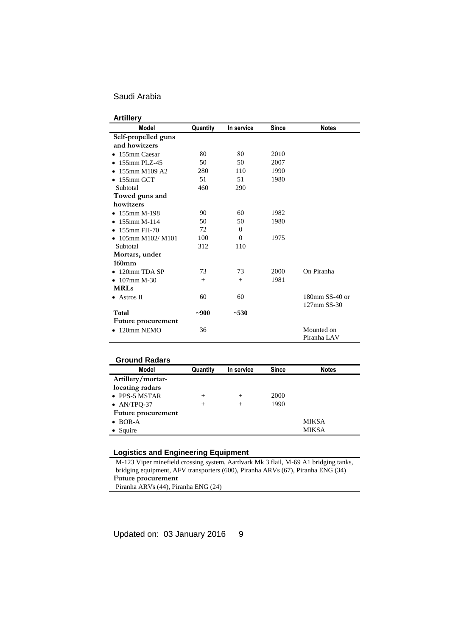### **Artillery**

| Model                            | Quantity | In service | <b>Since</b> | <b>Notes</b>   |
|----------------------------------|----------|------------|--------------|----------------|
| Self-propelled guns              |          |            |              |                |
| and howitzers                    |          |            |              |                |
| • 155mm Caesar                   | 80       | 80         | 2010         |                |
| $\bullet$ 155mm PLZ-45           | 50       | 50         | 2007         |                |
| 155mm M109 A2                    | 280      | 110        | 1990         |                |
| $\bullet$ 155mm GCT              | 51       | 51         | 1980         |                |
| Subtotal                         | 460      | 290        |              |                |
| Towed guns and                   |          |            |              |                |
| howitzers                        |          |            |              |                |
| $\bullet$ 155mm M-198            | 90       | 60         | 1982         |                |
| $\bullet$ 155mm M-114            | 50       | 50         | 1980         |                |
| 155mm FH-70                      | 72       | $\Omega$   |              |                |
| • $105 \text{mm}$ M $102 / M101$ | 100      | $\Omega$   | 1975         |                |
| Subtotal                         | 312      | 110        |              |                |
| Mortars, under                   |          |            |              |                |
| $160$ mm                         |          |            |              |                |
| 120mm TDA SP                     | 73       | 73         | 2000         | On Piranha     |
| $\bullet$ 107mm M-30             | $^{+}$   | $^{+}$     | 1981         |                |
| <b>MRLs</b>                      |          |            |              |                |
| $\bullet$ Astros II              | 60       | 60         |              | 180mm SS-40 or |
|                                  |          |            |              | 127mm SS-30    |
| <b>Total</b>                     | $-900$   | $-530$     |              |                |
| Future procurement               |          |            |              |                |
| $\bullet$ 120mm NEMO             | 36       |            |              | Mounted on     |
|                                  |          |            |              | Piranha LAV    |

| Quantity | In service | <b>Since</b> | <b>Notes</b> |
|----------|------------|--------------|--------------|
|          |            |              |              |
|          |            |              |              |
| $^{+}$   | $^{+}$     | 2000         |              |
| $^{+}$   | $^{+}$     | 1990         |              |
|          |            |              |              |
|          |            |              | <b>MIKSA</b> |
|          |            |              | <b>MIKSA</b> |
|          |            |              |              |

## **Logistics and Engineering Equipment**

M-123 Viper minefield crossing system, Aardvark Mk 3 flail, M-69 A1 bridging tanks, bridging equipment, AFV transporters (600), Piranha ARVs (67), Piranha ENG (34) **Future procurement** Piranha ARVs (44), Piranha ENG (24)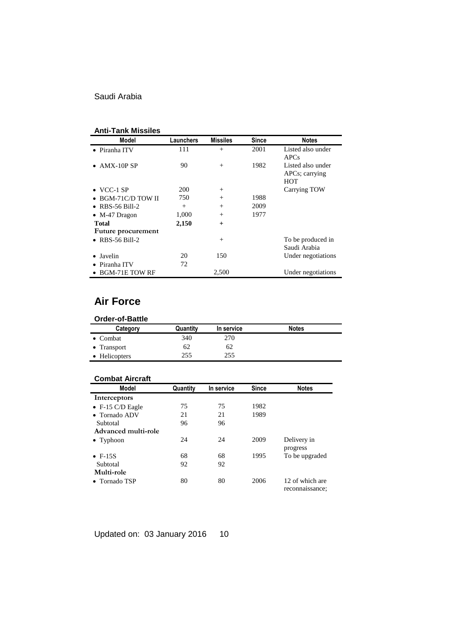## **Anti-Tank Missiles**

| Model                      | <b>Launchers</b> | <b>Missiles</b> | <b>Since</b> | <b>Notes</b>                                      |
|----------------------------|------------------|-----------------|--------------|---------------------------------------------------|
| • Piranha ITV              | 111              | $^{+}$          | 2001         | Listed also under<br><b>APCs</b>                  |
| $\bullet$ AMX-10P SP       | 90               | $+$             | 1982         | Listed also under<br>APCs; carrying<br><b>HOT</b> |
| $\bullet$ VCC-1 SP         | 200              | $+$             |              | Carrying TOW                                      |
| $\bullet$ BGM-71C/D TOW II | 750              | $^{+}$          | 1988         |                                                   |
| $\bullet$ RBS-56 Bill-2    | $^{+}$           | $^{+}$          | 2009         |                                                   |
| $\bullet$ M-47 Dragon      | 1,000            | $+$             | 1977         |                                                   |
| <b>Total</b>               | 2,150            | $+$             |              |                                                   |
| Future procurement         |                  |                 |              |                                                   |
| $\bullet$ RBS-56 Bill-2    |                  | $^{+}$          |              | To be produced in<br>Saudi Arabia                 |
| Javelin                    | 20               | 150             |              | Under negotiations                                |
| Piranha ITV                | 72               |                 |              |                                                   |
| $\bullet$ BGM-71E TOW RF   |                  | 2,500           |              | Under negotiations                                |

# **Air Force**

| <b>Order-of-Battle</b> |          |            |              |  |
|------------------------|----------|------------|--------------|--|
| Category               | Quantity | In service | <b>Notes</b> |  |
| $\bullet$ Combat       | 340      | 270        |              |  |
| • Transport            | 62       | 62         |              |  |
| • Helicopters          | 255      | 255        |              |  |

### **Combat Aircraft**

| Model                    | Quantity | In service | <b>Since</b> | <b>Notes</b>                       |
|--------------------------|----------|------------|--------------|------------------------------------|
| Interceptors             |          |            |              |                                    |
| $\bullet$ F-15 C/D Eagle | 75       | 75         | 1982         |                                    |
| • Tornado ADV            | 21       | 21         | 1989         |                                    |
| Subtotal                 | 96       | 96         |              |                                    |
| Advanced multi-role      |          |            |              |                                    |
| $\bullet$ Typhoon        | 24       | 24         | 2009         | Delivery in                        |
|                          |          |            |              | progress                           |
| $\bullet$ F-15S          | 68       | 68         | 1995         | To be upgraded                     |
| Subtotal                 | 92       | 92         |              |                                    |
| Multi-role               |          |            |              |                                    |
| • Tornado TSP            | 80       | 80         | 2006         | 12 of which are<br>reconnaissance; |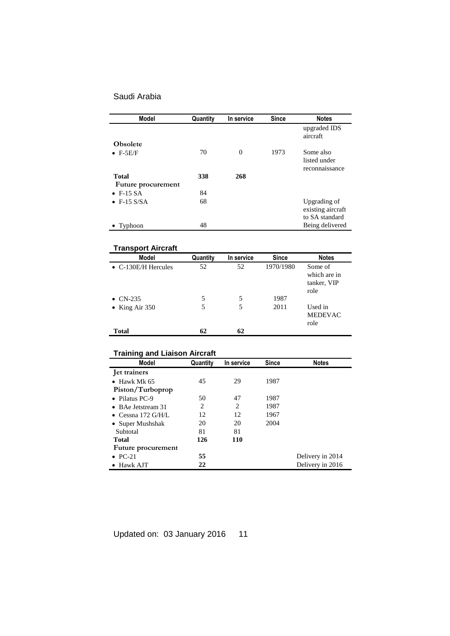| <b>Model</b>        | Quantity | In service | <b>Since</b> | <b>Notes</b>             |
|---------------------|----------|------------|--------------|--------------------------|
|                     |          |            |              | upgraded IDS<br>aircraft |
| <b>Obsolete</b>     |          |            |              |                          |
| $\bullet$ F-5E/F    | 70       | $\theta$   | 1973         | Some also                |
|                     |          |            |              | listed under             |
|                     |          |            |              | reconnaissance           |
| <b>Total</b>        | 338      | 268        |              |                          |
| Future procurement  |          |            |              |                          |
| $\bullet$ F-15 SA   | 84       |            |              |                          |
| $\bullet$ F-15 S/SA | 68       |            |              | Upgrading of             |
|                     |          |            |              | existing aircraft        |
|                     |          |            |              | to SA standard           |
| Typhoon             | 48       |            |              | Being delivered          |

# **Transport Aircraft**

| <b>Model</b>                | Quantity | In service | <b>Since</b> | <b>Notes</b>                                   |
|-----------------------------|----------|------------|--------------|------------------------------------------------|
| $\bullet$ C-130E/H Hercules | 52       | 52         | 1970/1980    | Some of<br>which are in<br>tanker, VIP<br>role |
| $\bullet$ CN-235            | 5        | 5          | 1987         |                                                |
| • King Air $350$            | 5        | 5          | 2011         | Used in<br><b>MEDEVAC</b><br>role              |
| Total                       | 62       | 62         |              |                                                |

# **Training and Liaison Aircraft**

| <b>Model</b>           | Quantity | In service | <b>Since</b> | <b>Notes</b>     |
|------------------------|----------|------------|--------------|------------------|
| Jet trainers           |          |            |              |                  |
| $\bullet$ Hawk Mk 65   | 45       | 29         | 1987         |                  |
| Piston/Turboprop       |          |            |              |                  |
| $\bullet$ Pilatus PC-9 | 50       | 47         | 1987         |                  |
| • BAe Jetstream 31     | 2        | 2          | 1987         |                  |
| • Cessna 172 $G/H/L$   | 12       | 12         | 1967         |                  |
| • Super Mushshak       | 20       | 20         | 2004         |                  |
| Subtotal               | 81       | 81         |              |                  |
| <b>Total</b>           | 126      | <b>110</b> |              |                  |
| Future procurement     |          |            |              |                  |
| $\bullet$ PC-21        | 55       |            |              | Delivery in 2014 |
| $\bullet$ Hawk AJT     | 22       |            |              | Delivery in 2016 |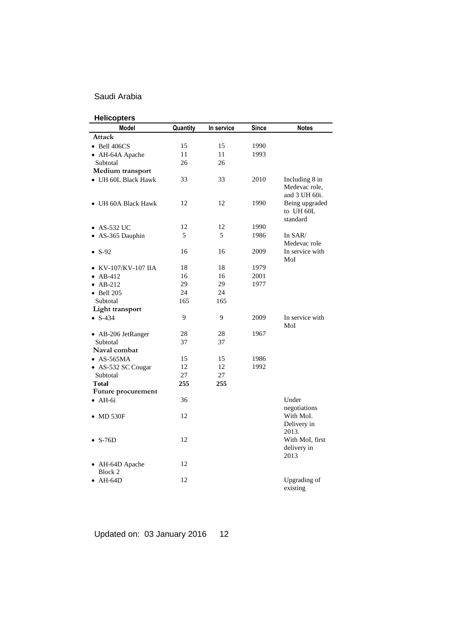| <b>Helicopters</b>       |          |            |              |                                                  |
|--------------------------|----------|------------|--------------|--------------------------------------------------|
| <b>Model</b>             | Quantity | In service | <b>Since</b> | <b>Notes</b>                                     |
| Attack                   |          |            |              |                                                  |
| $\bullet$ Bell 406CS     | 15       | 15         | 1990         |                                                  |
| • AH-64A Apache          | 11       | 11         | 1993         |                                                  |
| Subtotal                 | 26       | 26         |              |                                                  |
| Medium transport         |          |            |              |                                                  |
| • UH 60L Black Hawk      | 33       | 33         | 2010         | Including 8 in<br>Medevac role,<br>and 3 UH 60i. |
| • UH 60A Black Hawk      | 12       | 12         | 1990         | Being upgraded<br>to UH 60L<br>standard          |
| $\bullet$ AS-532 UC      | 12       | 12         | 1990         |                                                  |
| • AS-365 Dauphin         | 5        | 5          | 1986         | In SAR/<br>Medevac role                          |
| $\bullet$ S-92           | 16       | 16         | 2009         | In service with<br>MoI                           |
| KV-107/KV-107 IIA        | 18       | 18         | 1979         |                                                  |
| $\bullet$ AB-412         | 16       | 16         | 2001         |                                                  |
| $\bullet$ AB-212         | 29       | 29         | 1977         |                                                  |
| $\bullet$ Bell 205       | 24       | 24         |              |                                                  |
| Subtotal                 | 165      | 165        |              |                                                  |
| Light transport          |          |            |              |                                                  |
| $\bullet$ S-434          | 9        | 9          | 2009         | In service with<br>MoI                           |
| • AB-206 JetRanger       | 28       | 28         | 1967         |                                                  |
| Subtotal                 | 37       | 37         |              |                                                  |
| Naval combat             |          |            |              |                                                  |
| $\bullet$ AS-565MA       | 15       | 15         | 1986         |                                                  |
| • AS-532 SC Cougar       | 12       | 12         | 1992         |                                                  |
| Subtotal                 | 27       | 27         |              |                                                  |
| Total                    | 255      | 255        |              |                                                  |
| Future procurement       |          |            |              |                                                  |
| $\bullet$ AH-6i          | 36       |            |              | Under<br>negotiations                            |
| $\bullet$ MD 530F        | 12       |            |              | With MoI.<br>Delivery in<br>2013.                |
| $\bullet$ S-76D          | 12       |            |              | With MoI, first<br>delivery in<br>2013           |
| AH-64D Apache<br>Block 2 | 12       |            |              |                                                  |
| $\bullet$ AH-64D         | 12       |            |              | Upgrading of<br>existing                         |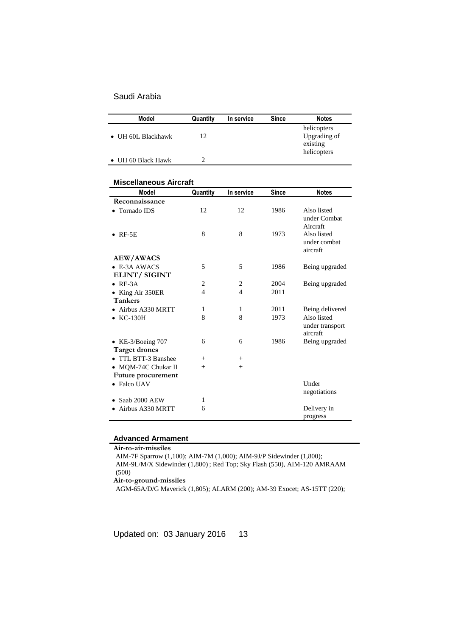| <b>Model</b>               | Quantity | In service | <b>Since</b> | <b>Notes</b>                                           |
|----------------------------|----------|------------|--------------|--------------------------------------------------------|
| • UH 60L Blackhawk         | 12       |            |              | helicopters<br>Upgrading of<br>existing<br>helicopters |
| $\bullet$ UH 60 Black Hawk |          |            |              |                                                        |

### **Miscellaneous Aircraft**

| <b>Model</b>                                     | Quantity       | In service | <b>Since</b> | <b>Notes</b>                               |
|--------------------------------------------------|----------------|------------|--------------|--------------------------------------------|
| Reconnaissance                                   |                |            |              |                                            |
| <b>Tornado IDS</b>                               | 12             | 12         | 1986         | Also listed<br>under Combat<br>Aircraft    |
| $RF-5E$                                          | 8              | 8          | 1973         | Also listed<br>under combat<br>aircraft    |
| <b>AEW/AWACS</b>                                 |                |            |              |                                            |
| $\bullet$ E-3A AWACS<br><b>ELINT/SIGINT</b>      | 5              | 5          | 1986         | Being upgraded                             |
| $RE-3A$<br>$\bullet$                             | 2              | 2          | 2004         | Being upgraded                             |
| King Air 350ER<br><b>Tankers</b>                 | $\overline{4}$ | 4          | 2011         |                                            |
| Airbus A330 MRTT                                 | 1              | 1          | 2011         | Being delivered                            |
| $KC-130H$                                        | 8              | 8          | 1973         | Also listed<br>under transport<br>aircraft |
| • KE-3/Boeing $707$<br><b>Target drones</b>      | 6              | 6          | 1986         | Being upgraded                             |
| TTL BTT-3 Banshee                                | $^{+}$         | $^{+}$     |              |                                            |
| • MQM-74C Chukar II<br><b>Future procurement</b> | $^{+}$         | $^{+}$     |              |                                            |
| • Falco UAV                                      |                |            |              | Under<br>negotiations                      |
| Saab 2000 AEW                                    | 1              |            |              |                                            |
| Airbus A330 MRTT                                 | 6              |            |              | Delivery in<br>progress                    |

### **Advanced Armament**

**Air-to-air-missiles** AIM-7F Sparrow (1,100); AIM-7M (1,000); AIM-9J/P Sidewinder (1,800); AIM-9L/M/X Sidewinder (1,800) ; Red Top; Sky Flash (550), AIM-120 AMRAAM

(500)

**Air-to-ground-missiles**

AGM-65A/D/G Maverick (1,805); ALARM (200); AM-39 Exocet; AS-15TT (220);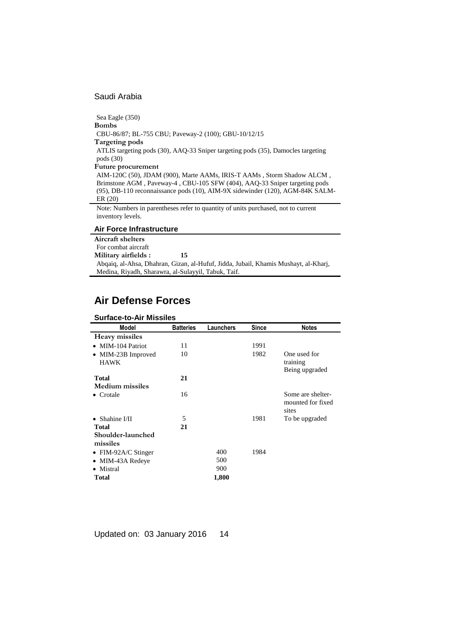Sea Eagle (350) **Bombs** CBU-86/87; BL-755 CBU; Paveway-2 (100); GBU-10/12/15 **Targeting pods** ATLIS targeting pods (30), AAQ-33 Sniper targeting pods (35), Damocles targeting pods (30) **Future procurement** AIM-120C (50), JDAM (900), Marte AAMs, IRIS-T AAMs , Storm Shadow ALCM , Brimstone AGM , Paveway-4 , CBU-105 SFW (404), AAQ-33 Sniper targeting pods (95), DB-110 reconnaissance pods (10), AIM-9X sidewinder (120), AGM-84K SALM-ER (20) Note: Numbers in parentheses refer to quantity of units purchased, not to current inventory levels.

### **Air Force Infrastructure**

**Aircraft shelters** For combat aircraft **Military airfields : 15** Abqaiq, al-Ahsa, Dhahran, Gizan, al-Hufuf, Jidda, Jubail, Khamis Mushayt, al-Kharj, Medina, Riyadh, Sharawra, al-Sulayyil, Tabuk, Taif.

# **Air Defense Forces**

| <b>Surface-to-Air Missiles</b> |                  |           |              |                                                 |
|--------------------------------|------------------|-----------|--------------|-------------------------------------------------|
| Model                          | <b>Batteries</b> | Launchers | <b>Since</b> | <b>Notes</b>                                    |
| Heavy missiles                 |                  |           |              |                                                 |
| • MIM-104 Patriot              | 11               |           | 1991         |                                                 |
| • MIM-23B Improved             | 10               |           | 1982         | One used for                                    |
| <b>HAWK</b>                    |                  |           |              | training                                        |
|                                |                  |           |              | Being upgraded                                  |
| <b>Total</b>                   | 21               |           |              |                                                 |
| <b>Medium</b> missiles         |                  |           |              |                                                 |
| $\bullet$ Crotale              | 16               |           |              | Some are shelter-<br>mounted for fixed<br>sites |
| $\bullet$ Shahine I/II         | 5                |           | 1981         | To be upgraded                                  |
| <b>Total</b>                   | 21               |           |              |                                                 |
| Shoulder-launched              |                  |           |              |                                                 |
| missiles                       |                  |           |              |                                                 |
| • FIM-92A/C Stinger            |                  | 400       | 1984         |                                                 |
| MIM-43A Redeye                 |                  | 500       |              |                                                 |
| • Mistral                      |                  | 900       |              |                                                 |
| Total                          |                  | 1,800     |              |                                                 |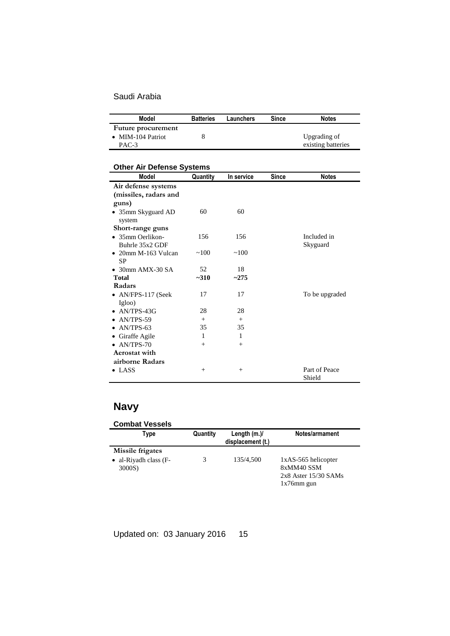| Model              | <b>Batteries</b> | Launchers | Since | <b>Notes</b>       |
|--------------------|------------------|-----------|-------|--------------------|
| Future procurement |                  |           |       |                    |
| • MIM-104 Patriot  |                  |           |       | Upgrading of       |
| PAC-3              |                  |           |       | existing batteries |

# **Other Air Defense Systems**

| <b>Model</b>                | Quantity | In service | <b>Since</b> | <b>Notes</b>   |
|-----------------------------|----------|------------|--------------|----------------|
| Air defense systems         |          |            |              |                |
| (missiles, radars and       |          |            |              |                |
| guns)                       |          |            |              |                |
| • 35mm Skyguard AD          | 60       | 60         |              |                |
| system                      |          |            |              |                |
| Short-range guns            |          |            |              |                |
| • 35mm Oerlikon-            | 156      | 156        |              | Included in    |
| Buhrle 35x2 GDF             |          |            |              | Skyguard       |
| $\bullet$ 20mm M-163 Vulcan | ~100     | ~100       |              |                |
| SP                          |          |            |              |                |
| $\bullet$ 30mm AMX-30 SA    | 52       | 18         |              |                |
| <b>Total</b>                | $-310$   | ~275       |              |                |
| Radars                      |          |            |              |                |
| $\bullet$ AN/FPS-117 (Seek  | 17       | 17         |              | To be upgraded |
| Igloo)                      |          |            |              |                |
| • $AN/TPS-43G$              | 28       | 28         |              |                |
| $\bullet$ AN/TPS-59         | $^{+}$   | $^{+}$     |              |                |
| $\bullet$ AN/TPS-63         | 35       | 35         |              |                |
| • Giraffe Agile             | 1        | 1          |              |                |
| $\bullet$ AN/TPS-70         | $^{+}$   | $^{+}$     |              |                |
| Aerostat with               |          |            |              |                |
| airborne Radars             |          |            |              |                |
| $\bullet$ LASS              | $^{+}$   | $^{+}$     |              | Part of Peace  |
|                             |          |            |              | Shield         |

# **Navy**

| <b>Combat Vessels</b><br>Type                               | Quantity | Length $(m.)/$<br>displacement (t.) | Notes/armament                                                                 |
|-------------------------------------------------------------|----------|-------------------------------------|--------------------------------------------------------------------------------|
| Missile frigates<br>$\bullet$ al-Riyadh class (F-<br>3000S) |          | 135/4,500                           | 1xAS-565 helicopter<br>8xMM40 SSM<br>$2x8$ Aster $15/30$ SAMs<br>$1x76$ mm gun |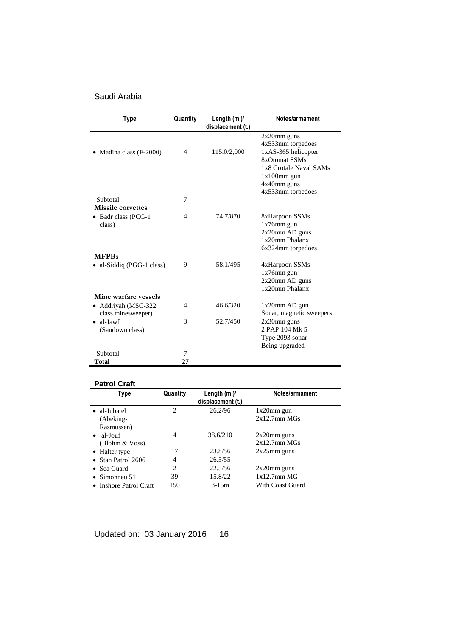| <b>Type</b>                               | Quantity       | Length (m.)/<br>displacement (t.) | Notes/armament                                                                                                                         |
|-------------------------------------------|----------------|-----------------------------------|----------------------------------------------------------------------------------------------------------------------------------------|
| Madina class (F-2000)                     | 4              | 115.0/2,000                       | $2x20$ mm guns<br>4x533mm torpedoes<br>1xAS-365 helicopter<br>8xOtomat SSMs<br>1x8 Crotale Naval SAMs<br>$1x100$ mm gun<br>4x40mm guns |
| Subtotal<br><b>Missile</b> corvettes      | 7              |                                   | 4x533mm torpedoes                                                                                                                      |
| • Badr class (PCG-1<br>class)             | 4              | 74.7/870                          | 8xHarpoon SSMs<br>$1x76$ mm gun<br>2x20mm AD guns<br>1x20mm Phalanx<br>6x324mm torpedoes                                               |
| <b>MFPBs</b>                              |                |                                   |                                                                                                                                        |
| al-Siddiq (PGG-1 class)                   | 9              | 58.1/495                          | 4xHarpoon SSMs<br>$1x76$ mm gun<br>2x20mm AD guns<br>1x20mm Phalanx                                                                    |
| Mine warfare vessels                      |                |                                   |                                                                                                                                        |
| • Addrivah (MSC-322<br>class minesweeper) | $\overline{4}$ | 46.6/320                          | $1x20$ mm AD gun<br>Sonar, magnetic sweepers                                                                                           |
| $\bullet$ al-Jawf<br>(Sandown class)      | 3              | 52.7/450                          | $2x30$ mm guns<br>2 PAP 104 Mk 5<br>Type 2093 sonar<br>Being upgraded                                                                  |
| Subtotal                                  | 7              |                                   |                                                                                                                                        |
| Total                                     | 27             |                                   |                                                                                                                                        |

### **Patrol Craft**

| Type                       | Quantity       | Length $(m.)/$<br>displacement (t.) | Notes/armament     |
|----------------------------|----------------|-------------------------------------|--------------------|
| • al-Jubatel               | $\mathfrak{D}$ | 26.2/96                             | $1x20$ mm gun      |
| (Abeking-                  |                |                                     | $2x12.7$ mm M $Gs$ |
| Rasmussen)                 |                |                                     |                    |
| al-Jouf<br>$\bullet$       | 4              | 38.6/210                            | $2x20$ mm guns     |
| (Blohm & Voss)             |                |                                     | $2x12.7$ mm M $Gs$ |
| • Halter type              | 17             | 23.8/56                             | $2x25$ mm guns     |
| $\bullet$ Stan Patrol 2606 | 4              | 26.5/55                             |                    |
| Sea Guard<br>$\bullet$     | $\mathfrak{D}$ | 22.5/56                             | $2x20$ mm guns     |
| Simonneu 51<br>$\bullet$   | 39             | 15.8/22                             | $1x12.7mm$ MG      |
| • Inshore Patrol Craft     | 150            | $8-15m$                             | With Coast Guard   |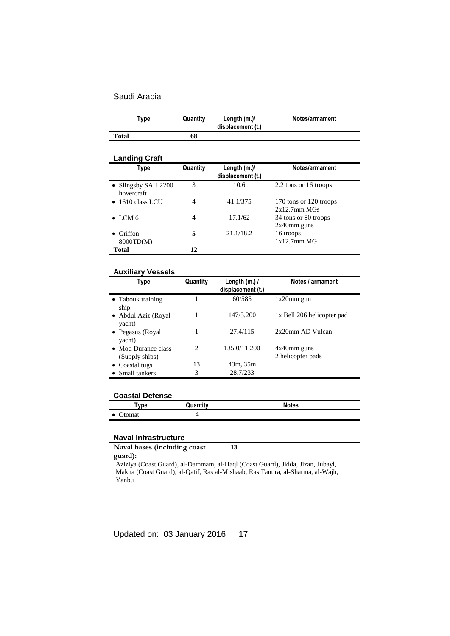|       | Type | Quantity | Length $(m.)/$<br>displacement (t.) | Notes/armament |
|-------|------|----------|-------------------------------------|----------------|
| Total |      | 68       |                                     |                |

#### **Landing Craft Type Quantity Length (m.)/ displacement (t.) Notes/armament** • Slingsby SAH 2200 hovercraft 3 10.6 2.2 tons or 16 troops • 1610 class LCU 4 41.1/375 170 tons or 120 troops 2x12.7mm MGs • LCM 6 **4** 17.1/62 34 tons or 80 troops 2x40mm guns Griffon 8000TD(M) **5** 21.1/18.2 16 troops 1x12.7mm MG **Total 12**

### **Auxiliary Vessels**

| Type                                  | Quantity                    | Length $(m.)/$<br>displacement (t.) | Notes / armament                    |
|---------------------------------------|-----------------------------|-------------------------------------|-------------------------------------|
| • Tabouk training<br>ship             |                             | 60/585                              | $1x20$ mm gun                       |
| • Abdul Aziz (Royal<br>yacht)         |                             | 147/5,200                           | 1x Bell 206 helicopter pad          |
| • Pegasus (Royal<br>yacht)            |                             | 27.4/115                            | 2x20mm AD Vulcan                    |
| • Mod Durance class<br>(Supply ships) | $\mathcal{D}_{\mathcal{L}}$ | 135.0/11,200                        | $4x40$ mm guns<br>2 helicopter pads |
| • Coastal tugs                        | 13                          | 43m, 35m                            |                                     |
| • Small tankers                       | 3                           | 28.7/233                            |                                     |

### **Coastal Defense**

| <b>Tvpe</b>                | Quantity | <b>Notes</b> |
|----------------------------|----------|--------------|
| $\bullet$<br><b>Jtomat</b> |          |              |

### **Naval Infrastructure**

**Naval bases (including coast 13**

### **guard):**

Aziziya (Coast Guard), al-Dammam, al-Haql (Coast Guard), Jidda, Jizan, Jubayl, Makna (Coast Guard), al-Qatif, Ras al-Mishaab, Ras Tanura, al-Sharma, al-Wajh, Yanbu